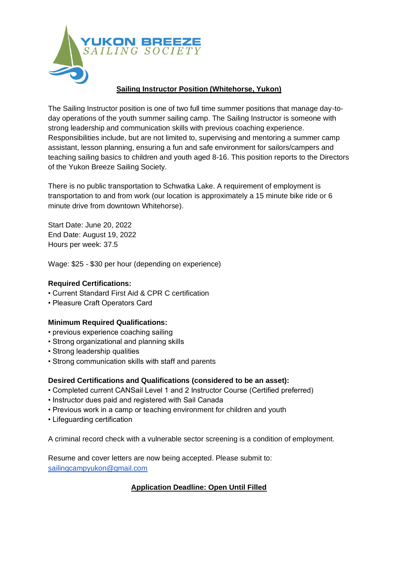

## **Sailing Instructor Position (Whitehorse, Yukon)**

The Sailing Instructor position is one of two full time summer positions that manage day-today operations of the youth summer sailing camp. The Sailing Instructor is someone with strong leadership and communication skills with previous coaching experience. Responsibilities include, but are not limited to, supervising and mentoring a summer camp assistant, lesson planning, ensuring a fun and safe environment for sailors/campers and teaching sailing basics to children and youth aged 8-16. This position reports to the Directors of the Yukon Breeze Sailing Society.

There is no public transportation to Schwatka Lake. A requirement of employment is transportation to and from work (our location is approximately a 15 minute bike ride or 6 minute drive from downtown Whitehorse).

Start Date: June 20, 2022 End Date: August 19, 2022 Hours per week: 37.5

Wage: \$25 - \$30 per hour (depending on experience)

### **Required Certifications:**

- Current Standard First Aid & CPR C certification
- Pleasure Craft Operators Card

#### **Minimum Required Qualifications:**

- previous experience coaching sailing
- Strong organizational and planning skills
- Strong leadership qualities
- Strong communication skills with staff and parents

#### **Desired Certifications and Qualifications (considered to be an asset):**

- Completed current CANSail Level 1 and 2 Instructor Course (Certified preferred)
- Instructor dues paid and registered with Sail Canada
- Previous work in a camp or teaching environment for children and youth
- Lifeguarding certification

A criminal record check with a vulnerable sector screening is a condition of employment.

Resume and cover letters are now being accepted. Please submit to: [sailingcampyukon@gmail.com](mailto:sailingcampyukon@gmail.com)

# **Application Deadline: Open Until Filled**